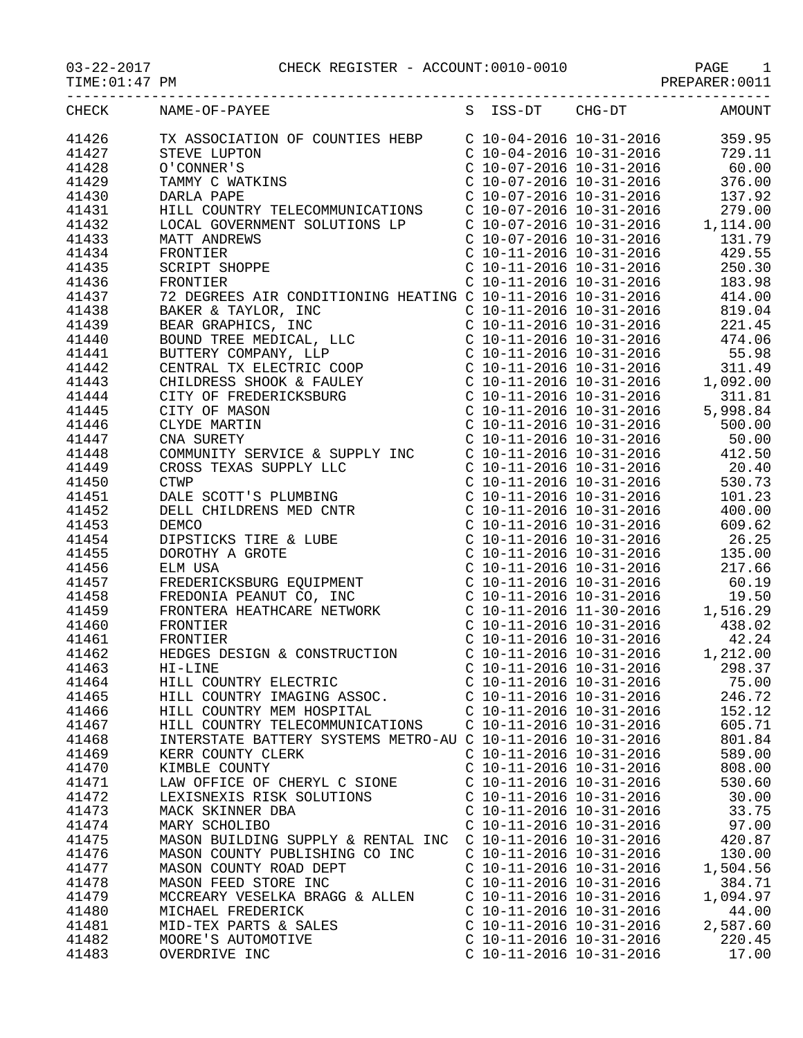TIME:01:47 PM PREPARER:0011

| CHECK          | NAME-OF-PAYEE                                                                                                                                                                                                                                                                                                                                                      |                           | S ISS-DT CHG-DT AMOUNT         |
|----------------|--------------------------------------------------------------------------------------------------------------------------------------------------------------------------------------------------------------------------------------------------------------------------------------------------------------------------------------------------------------------|---------------------------|--------------------------------|
| 41426          |                                                                                                                                                                                                                                                                                                                                                                    |                           |                                |
| 41427          |                                                                                                                                                                                                                                                                                                                                                                    |                           |                                |
| 41428          |                                                                                                                                                                                                                                                                                                                                                                    |                           |                                |
| 41429          |                                                                                                                                                                                                                                                                                                                                                                    |                           |                                |
| 41430          |                                                                                                                                                                                                                                                                                                                                                                    |                           |                                |
| 41431          |                                                                                                                                                                                                                                                                                                                                                                    |                           |                                |
| 41432          |                                                                                                                                                                                                                                                                                                                                                                    |                           |                                |
| 41433          |                                                                                                                                                                                                                                                                                                                                                                    |                           |                                |
| 41434          |                                                                                                                                                                                                                                                                                                                                                                    |                           |                                |
| 41435          |                                                                                                                                                                                                                                                                                                                                                                    |                           |                                |
|                |                                                                                                                                                                                                                                                                                                                                                                    |                           |                                |
| 41436<br>41437 | FRONTIER                                                                                                                                                                                                                                                                                                                                                           |                           | C 10-11-2016 10-31-2016 183.98 |
|                |                                                                                                                                                                                                                                                                                                                                                                    |                           |                                |
| 41438          |                                                                                                                                                                                                                                                                                                                                                                    |                           |                                |
| 41439          |                                                                                                                                                                                                                                                                                                                                                                    |                           |                                |
| 41440          |                                                                                                                                                                                                                                                                                                                                                                    |                           |                                |
| 41441          |                                                                                                                                                                                                                                                                                                                                                                    |                           |                                |
| 41442          |                                                                                                                                                                                                                                                                                                                                                                    |                           |                                |
| 41443          |                                                                                                                                                                                                                                                                                                                                                                    |                           |                                |
| 41444          |                                                                                                                                                                                                                                                                                                                                                                    |                           |                                |
| 41445          |                                                                                                                                                                                                                                                                                                                                                                    |                           |                                |
| 41446          | $\begin{tabular}{l c c c c c} \multicolumn{1}{c}{\textbf{FRONTIER}} & $\mathbf{C} & 10-11-2016 & 10-31-2016 & 183.98 \\ 72 & \textbf{DEGRERE} & \textbf{TAYLOR}, & \textbf{INC} & $\mathbf{C} & 10-11-2016 & 10-31-2016 & 414.00 \\ \textbf{BARKER & TRYLOR, INC} & $\mathbf{C} & 10-11-2016 & 10-31-2016 & 414.00 \\ \textbf{BEAR GRAPHICS}, & \textbf{INC} & $\$ |                           |                                |
| 41447          |                                                                                                                                                                                                                                                                                                                                                                    |                           |                                |
| 41448          | COMMUNITY SERVICE & SUPPLY INC  C 10-11-2016 10-31-2016 412.50                                                                                                                                                                                                                                                                                                     |                           |                                |
| 41449          |                                                                                                                                                                                                                                                                                                                                                                    |                           |                                |
| 41450          |                                                                                                                                                                                                                                                                                                                                                                    |                           |                                |
| 41451          |                                                                                                                                                                                                                                                                                                                                                                    |                           |                                |
| 41452          |                                                                                                                                                                                                                                                                                                                                                                    |                           |                                |
| 41453          |                                                                                                                                                                                                                                                                                                                                                                    |                           |                                |
| 41454          |                                                                                                                                                                                                                                                                                                                                                                    |                           |                                |
| 41455          |                                                                                                                                                                                                                                                                                                                                                                    |                           |                                |
| 41456          |                                                                                                                                                                                                                                                                                                                                                                    |                           |                                |
| 41457          |                                                                                                                                                                                                                                                                                                                                                                    |                           |                                |
| 41458          |                                                                                                                                                                                                                                                                                                                                                                    |                           |                                |
| 41459          |                                                                                                                                                                                                                                                                                                                                                                    |                           |                                |
| 41460          |                                                                                                                                                                                                                                                                                                                                                                    |                           |                                |
| 41461          |                                                                                                                                                                                                                                                                                                                                                                    |                           |                                |
| 41462          |                                                                                                                                                                                                                                                                                                                                                                    |                           |                                |
| 41463          | HI-LINE                                                                                                                                                                                                                                                                                                                                                            |                           | C 10-11-2016 10-31-2016 298.37 |
| 41464          | HILL COUNTRY ELECTRIC                                                                                                                                                                                                                                                                                                                                              | $C$ 10-11-2016 10-31-2016 | 75.00                          |
| 41465          | HILL COUNTRY IMAGING ASSOC.                                                                                                                                                                                                                                                                                                                                        | $C$ 10-11-2016 10-31-2016 | 246.72                         |
| 41466          | HILL COUNTRY MEM HOSPITAL                                                                                                                                                                                                                                                                                                                                          | $C$ 10-11-2016 10-31-2016 | 152.12                         |
| 41467          | HILL COUNTRY TELECOMMUNICATIONS                                                                                                                                                                                                                                                                                                                                    | $C$ 10-11-2016 10-31-2016 | 605.71                         |
| 41468          | INTERSTATE BATTERY SYSTEMS METRO-AU C 10-11-2016 10-31-2016                                                                                                                                                                                                                                                                                                        |                           | 801.84                         |
| 41469          | KERR COUNTY CLERK                                                                                                                                                                                                                                                                                                                                                  | $C$ 10-11-2016 10-31-2016 | 589.00                         |
| 41470          | KIMBLE COUNTY                                                                                                                                                                                                                                                                                                                                                      | $C$ 10-11-2016 10-31-2016 | 808.00                         |
| 41471          | LAW OFFICE OF CHERYL C SIONE                                                                                                                                                                                                                                                                                                                                       | $C$ 10-11-2016 10-31-2016 | 530.60                         |
| 41472          | LEXISNEXIS RISK SOLUTIONS                                                                                                                                                                                                                                                                                                                                          | $C$ 10-11-2016 10-31-2016 | 30.00                          |
| 41473          | MACK SKINNER DBA                                                                                                                                                                                                                                                                                                                                                   | $C$ 10-11-2016 10-31-2016 | 33.75                          |
| 41474          | MARY SCHOLIBO                                                                                                                                                                                                                                                                                                                                                      | $C$ 10-11-2016 10-31-2016 | 97.00                          |
| 41475          | MASON BUILDING SUPPLY & RENTAL INC                                                                                                                                                                                                                                                                                                                                 | $C$ 10-11-2016 10-31-2016 | 420.87                         |
| 41476          | MASON COUNTY PUBLISHING CO INC                                                                                                                                                                                                                                                                                                                                     | $C$ 10-11-2016 10-31-2016 | 130.00                         |
| 41477          | MASON COUNTY ROAD DEPT                                                                                                                                                                                                                                                                                                                                             | $C$ 10-11-2016 10-31-2016 | 1,504.56                       |
| 41478          | MASON FEED STORE INC                                                                                                                                                                                                                                                                                                                                               | $C$ 10-11-2016 10-31-2016 | 384.71                         |
| 41479          | MCCREARY VESELKA BRAGG & ALLEN                                                                                                                                                                                                                                                                                                                                     | $C$ 10-11-2016 10-31-2016 | 1,094.97                       |
| 41480          | MICHAEL FREDERICK                                                                                                                                                                                                                                                                                                                                                  | $C$ 10-11-2016 10-31-2016 | 44.00                          |
| 41481          | MID-TEX PARTS & SALES                                                                                                                                                                                                                                                                                                                                              | $C$ 10-11-2016 10-31-2016 | 2,587.60                       |
| 41482          | MOORE'S AUTOMOTIVE                                                                                                                                                                                                                                                                                                                                                 | $C$ 10-11-2016 10-31-2016 | 220.45                         |
| 41483          | OVERDRIVE INC                                                                                                                                                                                                                                                                                                                                                      | $C$ 10-11-2016 10-31-2016 | 17.00                          |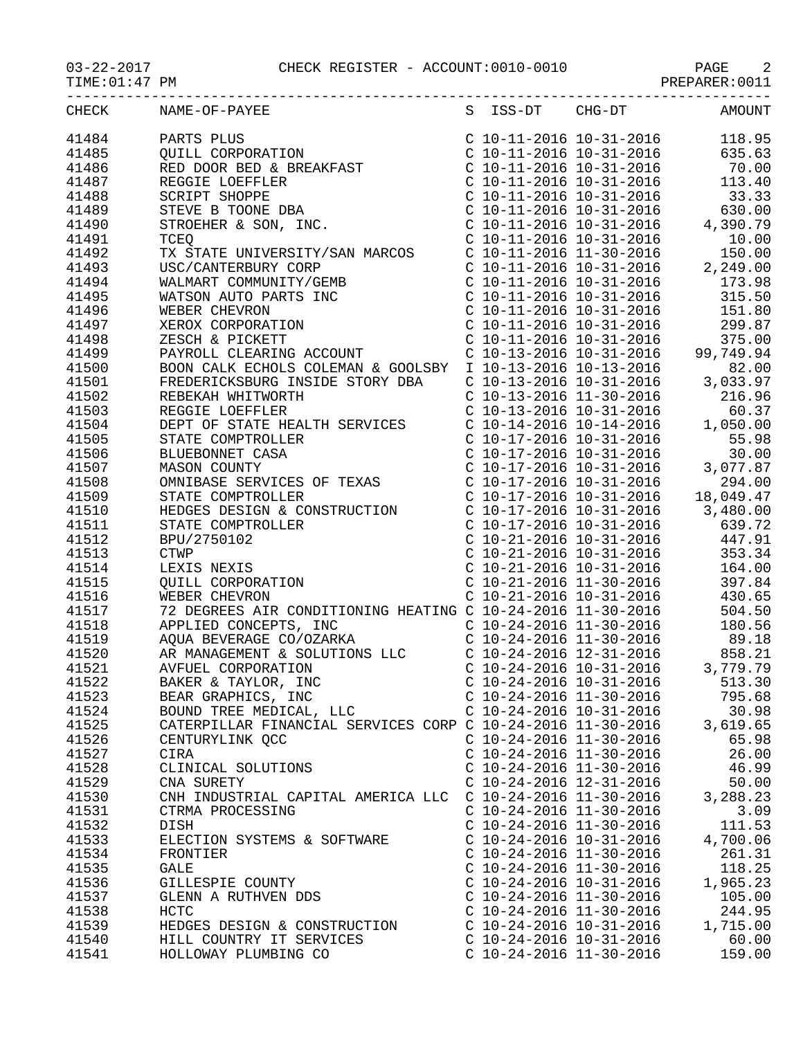| <b>CHECK</b> | NAME-OF-PAYEE<br>$\begin{tabular}{l c c c c} \multicolumn{1}{c}{\textbf{RAME}-OF-PAYEB} & \multicolumn{1}{c}{S} & S & S & S & S & S & S & S & S \\ \multicolumn{1}{c}{\textbf{PARTE}} & \multicolumn{1}{c}{\textbf{QMLE}} & \multicolumn{1}{c}{\textbf{QMLE}} & \multicolumn{1}{c}{\textbf{QMLE}} & \multicolumn{1}{c}{\textbf{QMLE}} & \multicolumn{1}{c}{\textbf{QMLE}} & \multicolumn{1}{c}{\textbf{QMLE}} & \multicolumn{1}{c}{\textbf{QMLE}} & \multicolumn{1}{c$ |                                                        | S ISS-DT CHG-DT AMOUNT |
|--------------|------------------------------------------------------------------------------------------------------------------------------------------------------------------------------------------------------------------------------------------------------------------------------------------------------------------------------------------------------------------------------------------------------------------------------------------------------------------------|--------------------------------------------------------|------------------------|
| 41484        | PARTS PLUS                                                                                                                                                                                                                                                                                                                                                                                                                                                             |                                                        |                        |
| 41485        |                                                                                                                                                                                                                                                                                                                                                                                                                                                                        |                                                        |                        |
| 41486        |                                                                                                                                                                                                                                                                                                                                                                                                                                                                        |                                                        |                        |
| 41487        |                                                                                                                                                                                                                                                                                                                                                                                                                                                                        |                                                        |                        |
|              |                                                                                                                                                                                                                                                                                                                                                                                                                                                                        |                                                        |                        |
| 41488        |                                                                                                                                                                                                                                                                                                                                                                                                                                                                        |                                                        |                        |
| 41489        |                                                                                                                                                                                                                                                                                                                                                                                                                                                                        |                                                        |                        |
| 41490        |                                                                                                                                                                                                                                                                                                                                                                                                                                                                        |                                                        |                        |
| 41491        |                                                                                                                                                                                                                                                                                                                                                                                                                                                                        |                                                        |                        |
| 41492        |                                                                                                                                                                                                                                                                                                                                                                                                                                                                        |                                                        |                        |
| 41493        |                                                                                                                                                                                                                                                                                                                                                                                                                                                                        |                                                        |                        |
| 41494        |                                                                                                                                                                                                                                                                                                                                                                                                                                                                        |                                                        |                        |
| 41495        |                                                                                                                                                                                                                                                                                                                                                                                                                                                                        |                                                        |                        |
| 41496        |                                                                                                                                                                                                                                                                                                                                                                                                                                                                        |                                                        |                        |
| 41497        |                                                                                                                                                                                                                                                                                                                                                                                                                                                                        |                                                        |                        |
| 41498        |                                                                                                                                                                                                                                                                                                                                                                                                                                                                        |                                                        |                        |
| 41499        |                                                                                                                                                                                                                                                                                                                                                                                                                                                                        |                                                        |                        |
| 41500        |                                                                                                                                                                                                                                                                                                                                                                                                                                                                        |                                                        |                        |
| 41501        |                                                                                                                                                                                                                                                                                                                                                                                                                                                                        |                                                        |                        |
| 41502        |                                                                                                                                                                                                                                                                                                                                                                                                                                                                        |                                                        |                        |
| 41503        |                                                                                                                                                                                                                                                                                                                                                                                                                                                                        |                                                        |                        |
| 41504        |                                                                                                                                                                                                                                                                                                                                                                                                                                                                        |                                                        |                        |
| 41505        |                                                                                                                                                                                                                                                                                                                                                                                                                                                                        |                                                        |                        |
|              |                                                                                                                                                                                                                                                                                                                                                                                                                                                                        |                                                        |                        |
| 41506        |                                                                                                                                                                                                                                                                                                                                                                                                                                                                        |                                                        |                        |
| 41507        |                                                                                                                                                                                                                                                                                                                                                                                                                                                                        |                                                        |                        |
| 41508        |                                                                                                                                                                                                                                                                                                                                                                                                                                                                        |                                                        |                        |
| 41509        |                                                                                                                                                                                                                                                                                                                                                                                                                                                                        |                                                        |                        |
| 41510        |                                                                                                                                                                                                                                                                                                                                                                                                                                                                        |                                                        |                        |
| 41511        |                                                                                                                                                                                                                                                                                                                                                                                                                                                                        |                                                        |                        |
| 41512        |                                                                                                                                                                                                                                                                                                                                                                                                                                                                        |                                                        |                        |
| 41513        |                                                                                                                                                                                                                                                                                                                                                                                                                                                                        |                                                        |                        |
| 41514        |                                                                                                                                                                                                                                                                                                                                                                                                                                                                        |                                                        |                        |
| 41515        |                                                                                                                                                                                                                                                                                                                                                                                                                                                                        |                                                        |                        |
| 41516        |                                                                                                                                                                                                                                                                                                                                                                                                                                                                        |                                                        |                        |
| 41517        |                                                                                                                                                                                                                                                                                                                                                                                                                                                                        |                                                        |                        |
| 41518        | 72 DEGREES AIR CONDITIONING HEATING C 10-24-2016 11-30-2016 504.50<br>APPLIED CONCEPTS, INC c 10-24-2016 11-30-2016 180.56<br>AQUA BEVERAGE CO/OZARKA C 10-24-2016 11-30-2016 89.18<br>AR MANAGEMENT & SOLUTIONS LLC C 10-24-2016 1                                                                                                                                                                                                                                    |                                                        |                        |
| 41519        |                                                                                                                                                                                                                                                                                                                                                                                                                                                                        |                                                        |                        |
| 41520        |                                                                                                                                                                                                                                                                                                                                                                                                                                                                        |                                                        |                        |
| 41521        |                                                                                                                                                                                                                                                                                                                                                                                                                                                                        |                                                        |                        |
| 41522        | BAKER & TAYLOR, INC                                                                                                                                                                                                                                                                                                                                                                                                                                                    | $C$ 10-24-2016 10-31-2016                              | 513.30                 |
| 41523        | BEAR GRAPHICS, INC                                                                                                                                                                                                                                                                                                                                                                                                                                                     | $C$ 10-24-2016 11-30-2016                              | 795.68                 |
| 41524        | BOUND TREE MEDICAL, LLC                                                                                                                                                                                                                                                                                                                                                                                                                                                | $C$ 10-24-2016 10-31-2016                              | 30.98                  |
| 41525        | CATERPILLAR FINANCIAL SERVICES CORP C 10-24-2016 11-30-2016                                                                                                                                                                                                                                                                                                                                                                                                            |                                                        | 3,619.65               |
| 41526        | CENTURYLINK QCC                                                                                                                                                                                                                                                                                                                                                                                                                                                        | $C$ 10-24-2016 11-30-2016                              | 65.98                  |
| 41527        | CIRA                                                                                                                                                                                                                                                                                                                                                                                                                                                                   | $C$ 10-24-2016 11-30-2016                              | 26.00                  |
| 41528        | CLINICAL SOLUTIONS                                                                                                                                                                                                                                                                                                                                                                                                                                                     | $C$ 10-24-2016 11-30-2016                              | 46.99                  |
| 41529        | CNA SURETY                                                                                                                                                                                                                                                                                                                                                                                                                                                             | $C$ 10-24-2016 12-31-2016                              | 50.00                  |
| 41530        | CNH INDUSTRIAL CAPITAL AMERICA LLC C 10-24-2016 11-30-2016                                                                                                                                                                                                                                                                                                                                                                                                             |                                                        | 3,288.23               |
| 41531        | CTRMA PROCESSING                                                                                                                                                                                                                                                                                                                                                                                                                                                       | $C$ 10-24-2016 11-30-2016                              | 3.09                   |
| 41532        | DISH                                                                                                                                                                                                                                                                                                                                                                                                                                                                   | $C$ 10-24-2016 11-30-2016                              | 111.53                 |
|              |                                                                                                                                                                                                                                                                                                                                                                                                                                                                        |                                                        | 4,700.06               |
| 41533        | ELECTION SYSTEMS & SOFTWARE                                                                                                                                                                                                                                                                                                                                                                                                                                            | $C$ 10-24-2016 10-31-2016<br>$C$ 10-24-2016 11-30-2016 |                        |
| 41534        | FRONTIER                                                                                                                                                                                                                                                                                                                                                                                                                                                               |                                                        | 261.31                 |
| 41535        | GALE                                                                                                                                                                                                                                                                                                                                                                                                                                                                   | $C$ 10-24-2016 11-30-2016                              | 118.25                 |
| 41536        | GILLESPIE COUNTY                                                                                                                                                                                                                                                                                                                                                                                                                                                       | $C$ 10-24-2016 10-31-2016                              | 1,965.23               |
| 41537        | GLENN A RUTHVEN DDS                                                                                                                                                                                                                                                                                                                                                                                                                                                    | $C$ 10-24-2016 11-30-2016                              | 105.00                 |
| 41538        | <b>HCTC</b>                                                                                                                                                                                                                                                                                                                                                                                                                                                            | $C$ 10-24-2016 11-30-2016                              | 244.95                 |
| 41539        | HEDGES DESIGN & CONSTRUCTION                                                                                                                                                                                                                                                                                                                                                                                                                                           | $C$ 10-24-2016 10-31-2016                              | 1,715.00               |
| 41540        | HILL COUNTRY IT SERVICES                                                                                                                                                                                                                                                                                                                                                                                                                                               | $C$ 10-24-2016 10-31-2016                              | 60.00                  |
| 41541        | HOLLOWAY PLUMBING CO                                                                                                                                                                                                                                                                                                                                                                                                                                                   | $C$ 10-24-2016 11-30-2016                              | 159.00                 |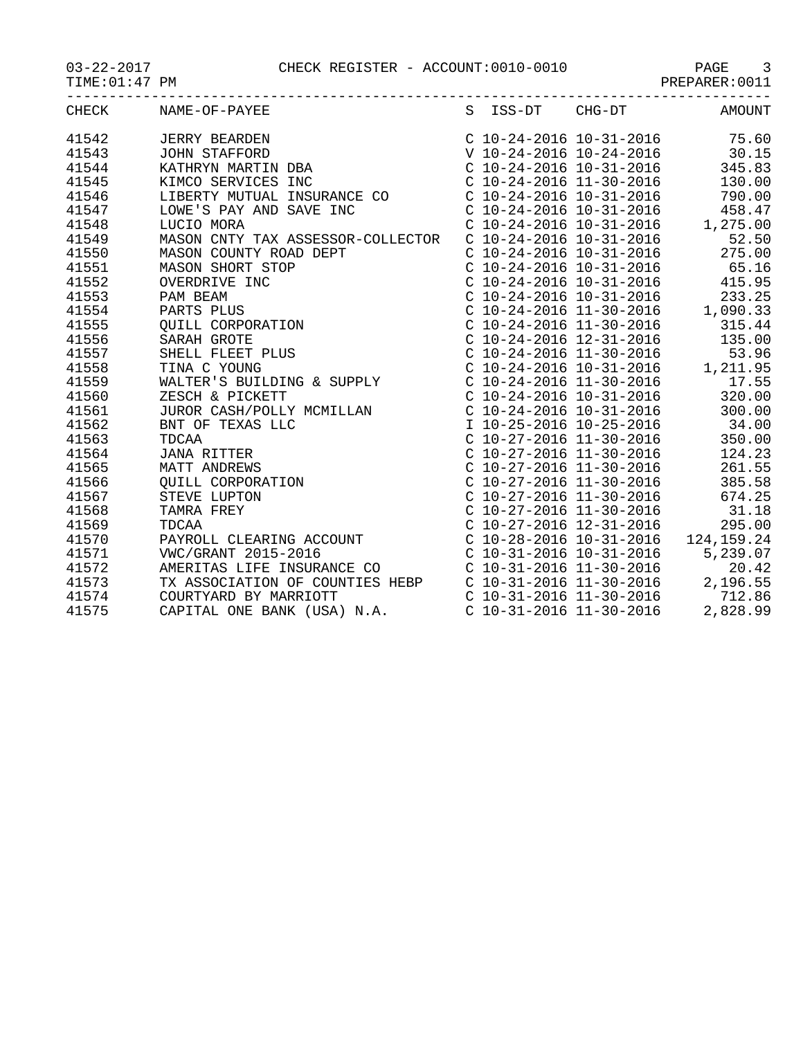|       | CHECK NAME-OF-PAYEE S ISS-DT CHG-DT AMOUNT |  |  |
|-------|--------------------------------------------|--|--|
|       |                                            |  |  |
|       |                                            |  |  |
|       |                                            |  |  |
|       |                                            |  |  |
|       |                                            |  |  |
|       |                                            |  |  |
|       |                                            |  |  |
|       |                                            |  |  |
|       |                                            |  |  |
|       |                                            |  |  |
|       |                                            |  |  |
|       |                                            |  |  |
|       |                                            |  |  |
|       |                                            |  |  |
|       |                                            |  |  |
|       |                                            |  |  |
|       |                                            |  |  |
|       |                                            |  |  |
|       |                                            |  |  |
|       |                                            |  |  |
|       |                                            |  |  |
|       |                                            |  |  |
|       |                                            |  |  |
|       |                                            |  |  |
|       |                                            |  |  |
|       |                                            |  |  |
|       |                                            |  |  |
|       |                                            |  |  |
|       |                                            |  |  |
|       |                                            |  |  |
|       |                                            |  |  |
|       |                                            |  |  |
| 41574 |                                            |  |  |
| 41575 |                                            |  |  |
|       |                                            |  |  |